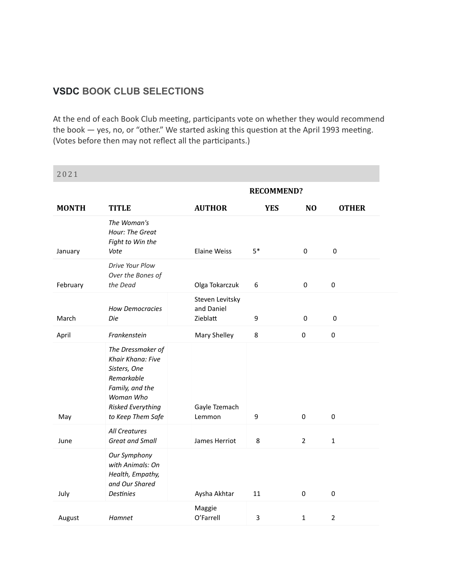## **VSDC BOOK CLUB SELECTIONS**

At the end of each Book Club meeting, participants vote on whether they would recommend the book — yes, no, or "other." We started asking this question at the April 1993 meeting. (Votes before then may not reflect all the participants.)

| 4 U 4 I      |                                                                                                                                                |                                           |                   |                     |                |
|--------------|------------------------------------------------------------------------------------------------------------------------------------------------|-------------------------------------------|-------------------|---------------------|----------------|
|              |                                                                                                                                                |                                           | <b>RECOMMEND?</b> |                     |                |
| <b>MONTH</b> | <b>TITLE</b>                                                                                                                                   | <b>AUTHOR</b>                             | <b>YES</b>        | N <sub>O</sub>      | <b>OTHER</b>   |
| January      | The Woman's<br>Hour: The Great<br>Fight to Win the<br>Vote                                                                                     | <b>Elaine Weiss</b>                       | $5*$              | 0                   | $\pmb{0}$      |
| February     | Drive Your Plow<br>Over the Bones of<br>the Dead                                                                                               | Olga Tokarczuk                            | 6                 | $\mathsf{O}\xspace$ | $\pmb{0}$      |
| March        | <b>How Democracies</b><br>Die                                                                                                                  | Steven Levitsky<br>and Daniel<br>Zieblatt | 9                 | 0                   | $\pmb{0}$      |
| April        | Frankenstein                                                                                                                                   | Mary Shelley                              | 8                 | $\pmb{0}$           | $\pmb{0}$      |
| May          | The Dressmaker of<br>Khair Khana: Five<br>Sisters, One<br>Remarkable<br>Family, and the<br>Woman Who<br>Risked Everything<br>to Keep Them Safe | Gayle Tzemach<br>Lemmon                   | 9                 | $\mathbf 0$         | $\mathbf 0$    |
| June         | All Creatures<br><b>Great and Small</b>                                                                                                        | James Herriot                             | 8                 | $\overline{2}$      | $\mathbf{1}$   |
| July         | Our Symphony<br>with Animals: On<br>Health, Empathy,<br>and Our Shared<br><b>Destinies</b>                                                     | Aysha Akhtar                              | 11                | $\mathbf 0$         | 0              |
| August       | Hamnet                                                                                                                                         | Maggie<br>O'Farrell                       | 3                 | $\mathbf{1}$        | $\overline{2}$ |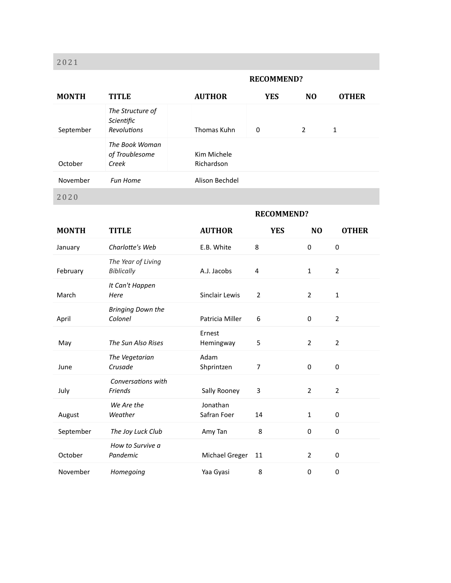#### **RECOMMEND?**

| <b>MONTH</b> | <b>TITLE</b>                                         | <b>AUTHOR</b>             | <b>YES</b>        | N <sub>O</sub> | <b>OTHER</b>   |
|--------------|------------------------------------------------------|---------------------------|-------------------|----------------|----------------|
| September    | The Structure of<br>Scientific<br><b>Revolutions</b> | Thomas Kuhn               | 0                 | $\overline{2}$ | $\mathbf{1}$   |
| October      | The Book Woman<br>of Troublesome<br>Creek            | Kim Michele<br>Richardson |                   |                |                |
| November     | <b>Fun Home</b>                                      | Alison Bechdel            |                   |                |                |
| 2020         |                                                      |                           |                   |                |                |
|              |                                                      |                           | <b>RECOMMEND?</b> |                |                |
| <b>MONTH</b> | <b>TITLE</b>                                         | <b>AUTHOR</b>             | <b>YES</b>        | N <sub>O</sub> | <b>OTHER</b>   |
| January      | Charlotte's Web                                      | E.B. White                | 8                 | $\pmb{0}$      | $\pmb{0}$      |
| February     | The Year of Living<br><b>Biblically</b>              | A.J. Jacobs               | 4                 | 1              | $\overline{2}$ |
| March        | It Can't Happen<br>Here                              | Sinclair Lewis            | $\overline{2}$    | $\overline{2}$ | $\mathbf{1}$   |
| April        | <b>Bringing Down the</b><br>Colonel                  | Patricia Miller           | 6                 | 0              | $\overline{2}$ |
| May          | The Sun Also Rises                                   | Ernest<br>Hemingway       | 5                 | $\overline{2}$ | $\overline{2}$ |
| June         | The Vegetarian<br>Crusade                            | Adam<br>Shprintzen        | 7                 | 0              | 0              |
| July         | Conversations with<br>Friends                        | Sally Rooney              | 3                 | 2              | $\overline{2}$ |
| August       | We Are the<br>Weather                                | Jonathan<br>Safran Foer   | 14                | 1              | 0              |
| September    | The Joy Luck Club                                    | Amy Tan                   | 8                 | 0              | $\pmb{0}$      |
| October      | How to Survive a<br>Pandemic                         | Michael Greger            | 11                | $\overline{2}$ | $\pmb{0}$      |
| November     | Homegoing                                            | Yaa Gyasi                 | 8                 | $\pmb{0}$      | 0              |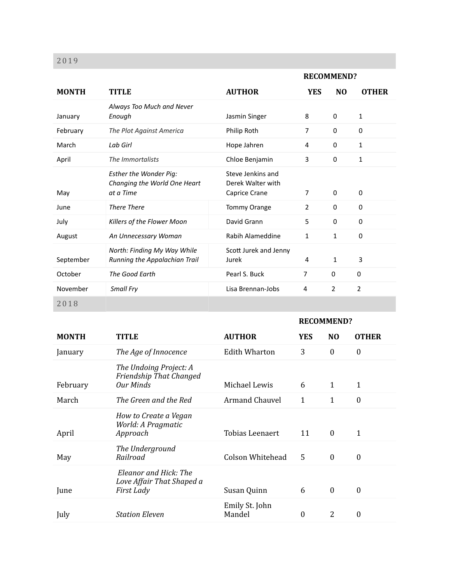|              |                                                                            |                                                         |                | <b>RECOMMEND?</b> |                |
|--------------|----------------------------------------------------------------------------|---------------------------------------------------------|----------------|-------------------|----------------|
| <b>MONTH</b> | <b>TITLE</b>                                                               | <b>AUTHOR</b>                                           | <b>YES</b>     | N <sub>O</sub>    | <b>OTHER</b>   |
| January      | Always Too Much and Never<br>Enough                                        | Jasmin Singer                                           | 8              | $\mathbf 0$       | 1              |
| February     | The Plot Against America                                                   | Philip Roth                                             | $\overline{7}$ | $\Omega$          | 0              |
| March        | Lab Girl                                                                   | Hope Jahren                                             | 4              | $\Omega$          | 1              |
| April        | The Immortalists                                                           | Chloe Benjamin                                          | 3              | 0                 | $\mathbf{1}$   |
| May          | <b>Esther the Wonder Pig:</b><br>Changing the World One Heart<br>at a Time | Steve Jenkins and<br>Derek Walter with<br>Caprice Crane | $\overline{7}$ | $\mathbf 0$       | $\mathbf 0$    |
| June         | <b>There There</b>                                                         | <b>Tommy Orange</b>                                     | $\overline{2}$ | $\mathbf 0$       | 0              |
| July         | Killers of the Flower Moon                                                 | David Grann                                             | 5              | 0                 | 0              |
| August       | An Unnecessary Woman                                                       | Rabih Alameddine                                        | $\mathbf{1}$   | $\mathbf{1}$      | 0              |
| September    | North: Finding My Way While<br>Running the Appalachian Trail               | Scott Jurek and Jenny<br>Jurek                          | 4              | 1                 | 3              |
| October      | The Good Earth                                                             | Pearl S. Buck                                           | $\overline{7}$ | 0                 | 0              |
| November     | Small Fry                                                                  | Lisa Brennan-Jobs                                       | 4              | $\overline{2}$    | $\overline{2}$ |
| 2018         |                                                                            |                                                         |                |                   |                |

|              |                                                                         |                          |            | <b>RECOMMEND?</b> |                  |
|--------------|-------------------------------------------------------------------------|--------------------------|------------|-------------------|------------------|
| <b>MONTH</b> | <b>TITLE</b>                                                            | <b>AUTHOR</b>            | <b>YES</b> | N <sub>O</sub>    | <b>OTHER</b>     |
| January      | The Age of Innocence                                                    | <b>Edith Wharton</b>     | 3          | $\mathbf{0}$      | $\theta$         |
| February     | The Undoing Project: A<br>Friendship That Changed<br><b>Our Minds</b>   | Michael Lewis            | 6          | $\mathbf{1}$      | 1                |
| March        | The Green and the Red                                                   | <b>Armand Chauvel</b>    | 1          | $\mathbf{1}$      | $\mathbf{0}$     |
| April        | How to Create a Vegan<br>World: A Pragmatic<br>Approach                 | <b>Tobias Leenaert</b>   | 11         | $\mathbf{0}$      | 1                |
| May          | The Underground<br>Railroad                                             | Colson Whitehead         | 5          | $\mathbf{0}$      | $\boldsymbol{0}$ |
| June         | Eleanor and Hick: The<br>Love Affair That Shaped a<br><b>First Lady</b> | Susan Quinn              | 6          | $\mathbf{0}$      | $\boldsymbol{0}$ |
| July         | <b>Station Eleven</b>                                                   | Emily St. John<br>Mandel | 0          | 2                 | $\boldsymbol{0}$ |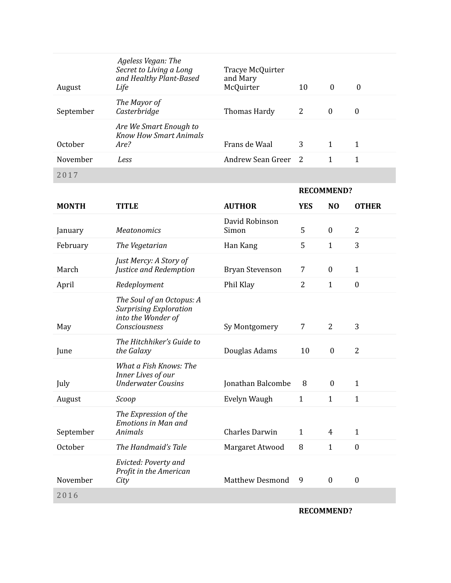| August    | Ageless Vegan: The<br>Secret to Living a Long<br>and Healthy Plant-Based<br>Life | Tracye McQuirter<br>and Mary<br>McQuirter | 10 | $\theta$ | $\bf{0}$         |
|-----------|----------------------------------------------------------------------------------|-------------------------------------------|----|----------|------------------|
| September | The Mayor of<br>Casterbridge                                                     | Thomas Hardy                              | 2  | $\theta$ | $\boldsymbol{0}$ |
| October   | Are We Smart Enough to<br><b>Know How Smart Animals</b><br>Are?                  | Frans de Waal                             | 3  | 1        | 1                |
| November  | Less                                                                             | Andrew Sean Greer 2                       |    | 1        | 1                |
| 2017      |                                                                                  |                                           |    |          |                  |

|              |                                                                                                   |                         |                | <b>RECOMMEND?</b> |                |
|--------------|---------------------------------------------------------------------------------------------------|-------------------------|----------------|-------------------|----------------|
| <b>MONTH</b> | <b>TITLE</b>                                                                                      | <b>AUTHOR</b>           | <b>YES</b>     | N <sub>O</sub>    | <b>OTHER</b>   |
| January      | <b>Meatonomics</b>                                                                                | David Robinson<br>Simon | 5              | $\boldsymbol{0}$  | $\overline{2}$ |
| February     | The Vegetarian                                                                                    | Han Kang                | 5              | $\mathbf{1}$      | 3              |
| March        | Just Mercy: A Story of<br>Justice and Redemption                                                  | <b>Bryan Stevenson</b>  | 7              | $\boldsymbol{0}$  | $\mathbf{1}$   |
| April        | Redeployment                                                                                      | Phil Klay               | $\overline{2}$ | $\mathbf{1}$      | $\mathbf{0}$   |
| May          | The Soul of an Octopus: A<br><b>Surprising Exploration</b><br>into the Wonder of<br>Consciousness | Sy Montgomery           | $\overline{7}$ | $\overline{2}$    | 3              |
| June         | The Hitchhiker's Guide to<br>the Galaxy                                                           | Douglas Adams           | 10             | $\boldsymbol{0}$  | $\overline{2}$ |
| July         | What a Fish Knows: The<br>Inner Lives of our<br><b>Underwater Cousins</b>                         | Jonathan Balcombe       | 8              | $\boldsymbol{0}$  | $\mathbf{1}$   |
| August       | Scoop                                                                                             | Evelyn Waugh            | $\mathbf{1}$   | $\mathbf{1}$      | $\mathbf{1}$   |
| September    | The Expression of the<br><b>Emotions in Man and</b><br>Animals                                    | Charles Darwin          | $\mathbf{1}$   | 4                 | $\mathbf{1}$   |
| October      | The Handmaid's Tale                                                                               | Margaret Atwood         | 8              | $\mathbf{1}$      | $\mathbf{0}$   |
| November     | Evicted: Poverty and<br>Profit in the American<br>City                                            | <b>Matthew Desmond</b>  | 9              | $\mathbf{0}$      | $\mathbf{0}$   |
| 2016         |                                                                                                   |                         |                |                   |                |
|              |                                                                                                   |                         |                |                   |                |

**RECOMMEND?**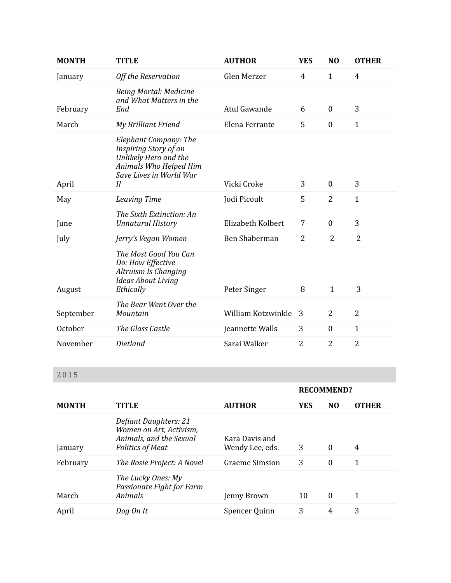| <b>MONTH</b> | <b>TITLE</b>                                                                                                                       | <b>AUTHOR</b>      | <b>YES</b>     | N <sub>O</sub>   | <b>OTHER</b>   |
|--------------|------------------------------------------------------------------------------------------------------------------------------------|--------------------|----------------|------------------|----------------|
| January      | Off the Reservation                                                                                                                | Glen Merzer        | $\overline{4}$ | $\mathbf{1}$     | $\overline{4}$ |
| February     | Being Mortal: Medicine<br>and What Matters in the<br>End                                                                           | Atul Gawande       | 6              | $\mathbf{0}$     | 3              |
| March        | <b>My Brilliant Friend</b>                                                                                                         | Elena Ferrante     | 5              | $\boldsymbol{0}$ | $\mathbf{1}$   |
| April        | Elephant Company: The<br>Inspiring Story of an<br>Unlikely Hero and the<br>Animals Who Helped Him<br>Save Lives in World War<br>II | Vicki Croke        | 3              | $\mathbf{0}$     | 3              |
| May          | Leaving Time                                                                                                                       | Jodi Picoult       | 5              | $\overline{2}$   | $\mathbf{1}$   |
| June         | The Sixth Extinction: An<br><b>Unnatural History</b>                                                                               | Elizabeth Kolbert  | 7              | $\boldsymbol{0}$ | 3              |
| July         | Jerry's Vegan Women                                                                                                                | Ben Shaberman      | $\overline{2}$ | 2                | $\overline{2}$ |
| August       | The Most Good You Can<br>Do: How Effective<br>Altruism Is Changing<br><b>Ideas About Living</b><br>Ethically                       | Peter Singer       | 8              | $\mathbf{1}$     | 3              |
| September    | The Bear Went Over the<br>Mountain                                                                                                 | William Kotzwinkle | 3              | $\overline{2}$   | $\overline{2}$ |
| October      | The Glass Castle                                                                                                                   | Jeannette Walls    | 3              | $\mathbf{0}$     | $\mathbf{1}$   |
| November     | <b>Dietland</b>                                                                                                                    | Sarai Walker       | $\overline{2}$ | $\overline{2}$   | $\overline{2}$ |

|              |                                                                                                        |                                   |            | <b>RECOMMEND?</b> |              |
|--------------|--------------------------------------------------------------------------------------------------------|-----------------------------------|------------|-------------------|--------------|
| <b>MONTH</b> | <b>TITLE</b>                                                                                           | <b>AUTHOR</b>                     | <b>YES</b> | N <sub>0</sub>    | <b>OTHER</b> |
| January      | Defiant Daughters: 21<br>Women on Art, Activism,<br>Animals, and the Sexual<br><b>Politics of Meat</b> | Kara Davis and<br>Wendy Lee, eds. | 3          | $\theta$          | 4            |
| February     | The Rosie Project: A Novel                                                                             | <b>Graeme Simsion</b>             | 3          | $\theta$          | 1            |
| March        | The Lucky Ones: My<br>Passionate Fight for Farm<br>Animals                                             | Jenny Brown                       | 10         | $\theta$          | 1            |
| April        | Dog On It                                                                                              | Spencer Quinn                     | 3          | $\overline{4}$    | 3            |
|              |                                                                                                        |                                   |            |                   |              |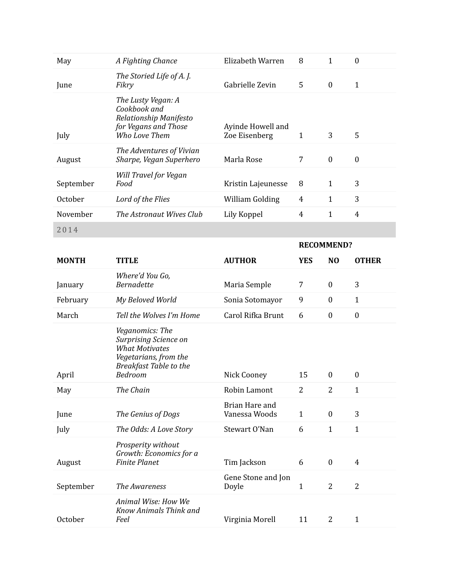| May          | A Fighting Chance                                                                                                                             | Elizabeth Warren                   | 8              | $\mathbf{1}$      | $\boldsymbol{0}$ |
|--------------|-----------------------------------------------------------------------------------------------------------------------------------------------|------------------------------------|----------------|-------------------|------------------|
| June         | The Storied Life of A.J.<br>Fikry                                                                                                             | Gabrielle Zevin                    | 5              | $\boldsymbol{0}$  | $\mathbf{1}$     |
| July         | The Lusty Vegan: A<br>Cookbook and<br>Relationship Manifesto<br>for Vegans and Those<br>Who Love Them                                         | Ayinde Howell and<br>Zoe Eisenberg | $\mathbf{1}$   | 3                 | 5                |
| August       | The Adventures of Vivian<br>Sharpe, Vegan Superhero                                                                                           | Marla Rose                         | 7              | $\boldsymbol{0}$  | $\boldsymbol{0}$ |
| September    | Will Travel for Vegan<br>Food                                                                                                                 | Kristin Lajeunesse                 | 8              | $\mathbf{1}$      | 3                |
| October      | Lord of the Flies                                                                                                                             | William Golding                    | $\overline{4}$ | $\mathbf{1}$      | 3                |
| November     | The Astronaut Wives Club                                                                                                                      | Lily Koppel                        | 4              | $\mathbf{1}$      | $\overline{4}$   |
| 2014         |                                                                                                                                               |                                    |                |                   |                  |
|              |                                                                                                                                               |                                    |                | <b>RECOMMEND?</b> |                  |
| <b>MONTH</b> | <b>TITLE</b>                                                                                                                                  | <b>AUTHOR</b>                      | <b>YES</b>     | N <sub>O</sub>    | <b>OTHER</b>     |
| January      | Where'd You Go,<br><b>Bernadette</b>                                                                                                          | Maria Semple                       | 7              | $\boldsymbol{0}$  | 3                |
| February     | My Beloved World                                                                                                                              | Sonia Sotomayor                    | 9              | $\boldsymbol{0}$  | $\mathbf{1}$     |
|              |                                                                                                                                               |                                    |                |                   |                  |
| March        | Tell the Wolves I'm Home                                                                                                                      | Carol Rifka Brunt                  | 6              | $\boldsymbol{0}$  | $\boldsymbol{0}$ |
| April        | Veganomics: The<br><b>Surprising Science on</b><br><b>What Motivates</b><br>Vegetarians, from the<br><b>Breakfast Table to the</b><br>Bedroom | Nick Cooney                        | 15             | $\boldsymbol{0}$  | $\boldsymbol{0}$ |
| May          | The Chain                                                                                                                                     | Robin Lamont                       | 2              | $\overline{2}$    | $\mathbf{1}$     |
| June         | The Genius of Dogs                                                                                                                            | Brian Hare and<br>Vanessa Woods    | $\mathbf{1}$   | $\boldsymbol{0}$  | 3                |
| July         | The Odds: A Love Story                                                                                                                        | Stewart O'Nan                      | 6              | $\mathbf{1}$      | $\mathbf{1}$     |
| August       | Prosperity without<br>Growth: Economics for a<br><b>Finite Planet</b>                                                                         | Tim Jackson                        | 6              | $\boldsymbol{0}$  | $\overline{4}$   |
| September    | The Awareness                                                                                                                                 | Gene Stone and Jon<br>Doyle        | $\mathbf{1}$   | $\overline{2}$    | $\overline{2}$   |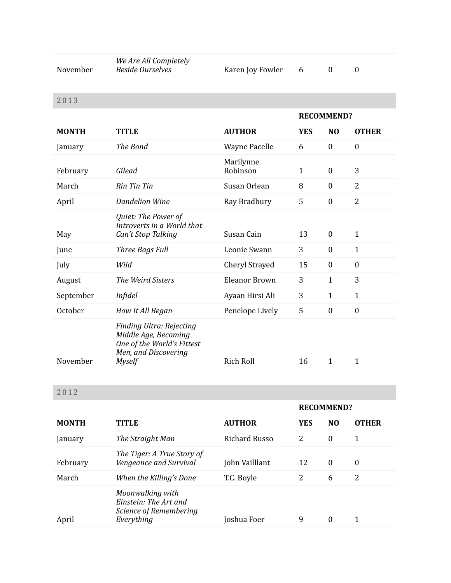| November     | We Are All Completely<br><b>Beside Ourselves</b>                                                                        | Karen Joy Fowler      | 6                 | $\boldsymbol{0}$ | $\boldsymbol{0}$ |
|--------------|-------------------------------------------------------------------------------------------------------------------------|-----------------------|-------------------|------------------|------------------|
| 2013         |                                                                                                                         |                       |                   |                  |                  |
|              |                                                                                                                         |                       | <b>RECOMMEND?</b> |                  |                  |
| <b>MONTH</b> | <b>TITLE</b>                                                                                                            | <b>AUTHOR</b>         | <b>YES</b>        | N <sub>O</sub>   | <b>OTHER</b>     |
| January      | The Bond                                                                                                                | <b>Wayne Pacelle</b>  | 6                 | $\boldsymbol{0}$ | $\boldsymbol{0}$ |
| February     | Gilead                                                                                                                  | Marilynne<br>Robinson | $\mathbf{1}$      | $\mathbf{0}$     | 3                |
| March        | <b>Rin Tin Tin</b>                                                                                                      | Susan Orlean          | 8                 | $\mathbf{0}$     | $\overline{2}$   |
| April        | <b>Dandelion Wine</b>                                                                                                   | Ray Bradbury          | 5                 | $\boldsymbol{0}$ | $\overline{2}$   |
| May          | Quiet: The Power of<br>Introverts in a World that<br>Can't Stop Talking                                                 | Susan Cain            | 13                | $\boldsymbol{0}$ | $\mathbf{1}$     |
| June         | Three Bags Full                                                                                                         | Leonie Swann          | 3                 | $\boldsymbol{0}$ | $\mathbf{1}$     |
| July         | Wild                                                                                                                    | Cheryl Strayed        | 15                | $\boldsymbol{0}$ | $\boldsymbol{0}$ |
| August       | The Weird Sisters                                                                                                       | <b>Eleanor Brown</b>  | 3                 | $\mathbf{1}$     | 3                |
| September    | <b>Infidel</b>                                                                                                          | Ayaan Hirsi Ali       | 3                 | $\mathbf{1}$     | $\mathbf{1}$     |
| October      | How It All Began                                                                                                        | Penelope Lively       | 5                 | $\boldsymbol{0}$ | $\boldsymbol{0}$ |
| November     | Finding Ultra: Rejecting<br>Middle Age, Becoming<br>One of the World's Fittest<br>Men, and Discovering<br><b>Myself</b> | <b>Rich Roll</b>      | 16                | 1                | $\mathbf{1}$     |

|              |                                                                                   |                | <b>RECOMMEND?</b> |                  |                  |
|--------------|-----------------------------------------------------------------------------------|----------------|-------------------|------------------|------------------|
| <b>MONTH</b> | <b>TITLE</b>                                                                      | <b>AUTHOR</b>  | <b>YES</b>        | N <sub>O</sub>   | <b>OTHER</b>     |
| January      | The Straight Man                                                                  | Richard Russo  | 2                 | $\boldsymbol{0}$ | 1                |
| February     | The Tiger: A True Story of<br>Vengeance and Survival                              | John Vailllant | 12                | $\theta$         | $\boldsymbol{0}$ |
| March        | When the Killing's Done                                                           | T.C. Boyle     | 2                 | 6                | 2                |
| April        | Moonwalking with<br>Einstein: The Art and<br>Science of Remembering<br>Everything | Joshua Foer    | 9                 | $\theta$         |                  |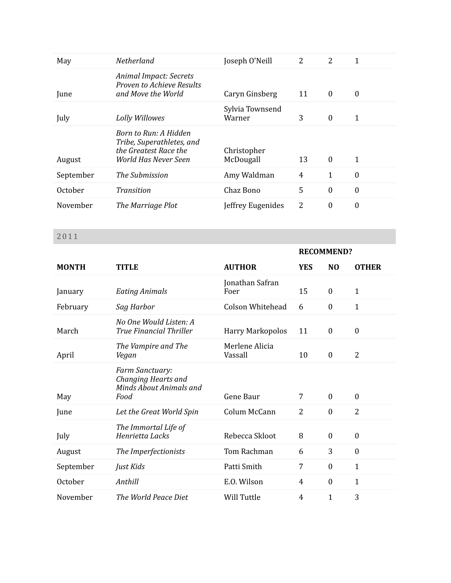| May       | Netherland                                                                                          | Joseph O'Neill            | 2  | 2                | 1                |
|-----------|-----------------------------------------------------------------------------------------------------|---------------------------|----|------------------|------------------|
| June      | <b>Animal Impact: Secrets</b><br>Proven to Achieve Results<br>and Move the World                    | Caryn Ginsberg            | 11 | $\overline{0}$   | $\theta$         |
| July      | Lolly Willowes                                                                                      | Sylvia Townsend<br>Warner | 3  | $\boldsymbol{0}$ | 1                |
| August    | Born to Run: A Hidden<br>Tribe, Superathletes, and<br>the Greatest Race the<br>World Has Never Seen | Christopher<br>McDougall  | 13 | $\overline{0}$   | 1                |
| September | The Submission                                                                                      | Amy Waldman               | 4  | 1                | $\theta$         |
| October   | Transition                                                                                          | Chaz Bono                 | 5  | $\boldsymbol{0}$ | $\boldsymbol{0}$ |
| November  | The Marriage Plot                                                                                   | Jeffrey Eugenides         | 2  | $\boldsymbol{0}$ | 0                |

|              |                                                                           |                           |            | <b>RECOMMEND?</b> |                  |
|--------------|---------------------------------------------------------------------------|---------------------------|------------|-------------------|------------------|
| <b>MONTH</b> | <b>TITLE</b>                                                              | <b>AUTHOR</b>             | <b>YES</b> | N <sub>0</sub>    | <b>OTHER</b>     |
| January      | <b>Eating Animals</b>                                                     | Jonathan Safran<br>Foer   | 15         | $\boldsymbol{0}$  | $\mathbf{1}$     |
| February     | Sag Harbor                                                                | Colson Whitehead          | 6          | $\boldsymbol{0}$  | $\mathbf{1}$     |
| March        | No One Would Listen: A<br><b>True Financial Thriller</b>                  | <b>Harry Markopolos</b>   | 11         | $\boldsymbol{0}$  | $\boldsymbol{0}$ |
| April        | The Vampire and The<br>Vegan                                              | Merlene Alicia<br>Vassall | 10         | $\boldsymbol{0}$  | $\overline{2}$   |
| May          | Farm Sanctuary:<br>Changing Hearts and<br>Minds About Animals and<br>Food | Gene Baur                 | 7          | $\boldsymbol{0}$  | $\boldsymbol{0}$ |
| June         | Let the Great World Spin                                                  | Colum McCann              | 2          | $\boldsymbol{0}$  | $\overline{2}$   |
| July         | The Immortal Life of<br>Henrietta Lacks                                   | Rebecca Skloot            | 8          | $\boldsymbol{0}$  | $\boldsymbol{0}$ |
| August       | The Imperfectionists                                                      | Tom Rachman               | 6          | 3                 | $\boldsymbol{0}$ |
| September    | Just Kids                                                                 | Patti Smith               | 7          | $\mathbf{0}$      | $\mathbf{1}$     |
| October      | Anthill                                                                   | E.O. Wilson               | 4          | $\boldsymbol{0}$  | $\mathbf{1}$     |
| November     | The World Peace Diet                                                      | Will Tuttle               | 4          | $\mathbf{1}$      | 3                |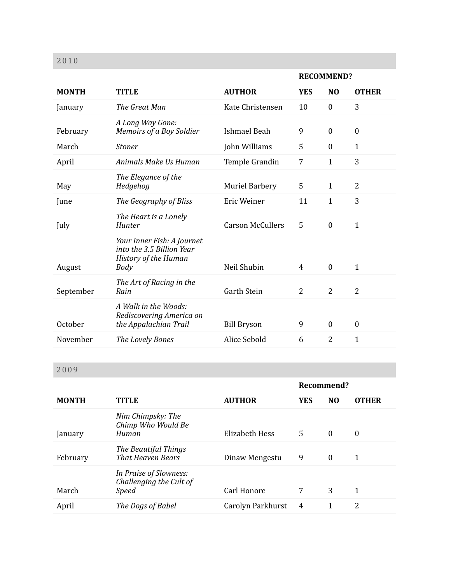|              |                                                                                         |                         | <b>RECOMMEND?</b> |                  |                  |
|--------------|-----------------------------------------------------------------------------------------|-------------------------|-------------------|------------------|------------------|
| <b>MONTH</b> | <b>TITLE</b>                                                                            | <b>AUTHOR</b>           | <b>YES</b>        | N <sub>O</sub>   | <b>OTHER</b>     |
| January      | The Great Man                                                                           | Kate Christensen        | 10                | $\mathbf{0}$     | 3                |
| February     | A Long Way Gone:<br>Memoirs of a Boy Soldier                                            | <b>Ishmael Beah</b>     | 9                 | $\boldsymbol{0}$ | $\boldsymbol{0}$ |
| March        | <b>Stoner</b>                                                                           | John Williams           | 5                 | $\mathbf{0}$     | $\mathbf{1}$     |
| April        | Animals Make Us Human                                                                   | Temple Grandin          | $\overline{7}$    | $\mathbf{1}$     | 3                |
| May          | The Elegance of the<br>Hedgehog                                                         | <b>Muriel Barbery</b>   | 5                 | $\mathbf{1}$     | $\overline{2}$   |
| June         | The Geography of Bliss                                                                  | Eric Weiner             | 11                | $\mathbf{1}$     | 3                |
| July         | The Heart is a Lonely<br>Hunter                                                         | <b>Carson McCullers</b> | 5                 | $\boldsymbol{0}$ | $\mathbf{1}$     |
| August       | Your Inner Fish: A Journet<br>into the 3.5 Billion Year<br>History of the Human<br>Body | Neil Shubin             | 4                 | $\mathbf{0}$     | $\mathbf{1}$     |
| September    | The Art of Racing in the<br>Rain                                                        | <b>Garth Stein</b>      | $\overline{2}$    | $\overline{2}$   | $\overline{2}$   |
| October      | A Walk in the Woods:<br>Rediscovering America on<br>the Appalachian Trail               | <b>Bill Bryson</b>      | 9                 | $\theta$         | $\boldsymbol{0}$ |
| November     | The Lovely Bones                                                                        | Alice Sebold            | 6                 | $\overline{2}$   | $\mathbf{1}$     |

|              |                                                                   |                   | Recommend? |                |              |
|--------------|-------------------------------------------------------------------|-------------------|------------|----------------|--------------|
| <b>MONTH</b> | <b>TITLE</b>                                                      | <b>AUTHOR</b>     | <b>YES</b> | N <sub>0</sub> | <b>OTHER</b> |
| January      | Nim Chimpsky: The<br>Chimp Who Would Be<br>Human                  | Elizabeth Hess    | 5.         | $\theta$       | $\theta$     |
| February     | The Beautiful Things<br><b>That Heaven Bears</b>                  | Dinaw Mengestu    | 9          | $\theta$       | 1            |
| March        | In Praise of Slowness:<br>Challenging the Cult of<br><b>Speed</b> | Carl Honore       | 7          | 3              | 1            |
| April        | The Dogs of Babel                                                 | Carolyn Parkhurst | 4          |                | 2            |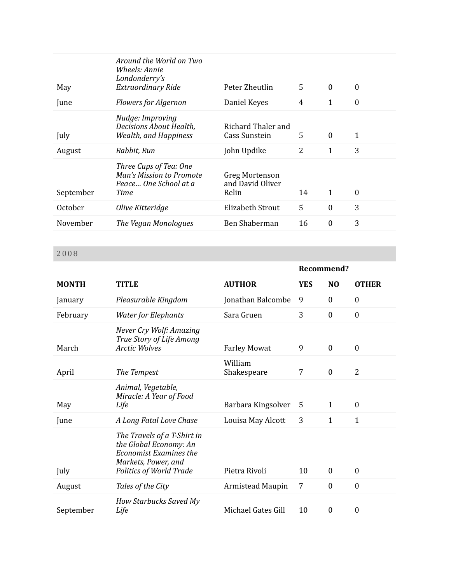| May       | Around the World on Two<br>Wheels: Annie<br>Londonderry's<br>Extraordinary Ride     | Peter Zheutlin                              | 5              | $\mathbf{0}$     | $\boldsymbol{0}$ |
|-----------|-------------------------------------------------------------------------------------|---------------------------------------------|----------------|------------------|------------------|
| June      | <b>Flowers for Algernon</b>                                                         | Daniel Keyes                                | 4              | 1                | $\boldsymbol{0}$ |
| July      | Nudge: Improving<br>Decisions About Health,<br><b>Wealth, and Happiness</b>         | Richard Thaler and<br>Cass Sunstein         | 5              | $\boldsymbol{0}$ | 1                |
| August    | Rabbit, Run                                                                         | John Updike                                 | $\overline{2}$ | 1                | 3                |
| September | Three Cups of Tea: One<br>Man's Mission to Promote<br>Peace One School at a<br>Time | Greg Mortenson<br>and David Oliver<br>Relin | 14             | $\mathbf{1}$     | $\boldsymbol{0}$ |
| October   | Olive Kitteridge                                                                    | Elizabeth Strout                            | 5              | $\boldsymbol{0}$ | 3                |
| November  | The Vegan Monologues                                                                | Ben Shaberman                               | 16             | $\overline{0}$   | 3                |

|              |                                                                                                                                          |                        | Recommend? |                  |                  |
|--------------|------------------------------------------------------------------------------------------------------------------------------------------|------------------------|------------|------------------|------------------|
| <b>MONTH</b> | <b>TITLE</b>                                                                                                                             | <b>AUTHOR</b>          | <b>YES</b> | N <sub>0</sub>   | <b>OTHER</b>     |
| January      | Pleasurable Kingdom                                                                                                                      | Jonathan Balcombe      | 9          | $\boldsymbol{0}$ | $\boldsymbol{0}$ |
| February     | <b>Water for Elephants</b>                                                                                                               | Sara Gruen             | 3          | $\boldsymbol{0}$ | $\boldsymbol{0}$ |
| March        | Never Cry Wolf: Amazing<br>True Story of Life Among<br><b>Arctic Wolves</b>                                                              | <b>Farley Mowat</b>    | 9          | $\mathbf{0}$     | $\boldsymbol{0}$ |
| April        | The Tempest                                                                                                                              | William<br>Shakespeare | 7          | $\boldsymbol{0}$ | $\overline{2}$   |
| May          | Animal, Vegetable,<br>Miracle: A Year of Food<br>Life                                                                                    | Barbara Kingsolver     | 5          | $\mathbf{1}$     | $\theta$         |
| June         | A Long Fatal Love Chase                                                                                                                  | Louisa May Alcott      | 3          | $\mathbf{1}$     | $\mathbf{1}$     |
| July         | The Travels of a T-Shirt in<br>the Global Economy: An<br>Economist Examines the<br>Markets, Power, and<br><b>Politics of World Trade</b> | Pietra Rivoli          | 10         | $\mathbf{0}$     | $\overline{0}$   |
| August       | Tales of the City                                                                                                                        | Armistead Maupin       | 7          | $\boldsymbol{0}$ | $\boldsymbol{0}$ |
| September    | <b>How Starbucks Saved My</b><br>Life                                                                                                    | Michael Gates Gill     | 10         | $\overline{0}$   | $\boldsymbol{0}$ |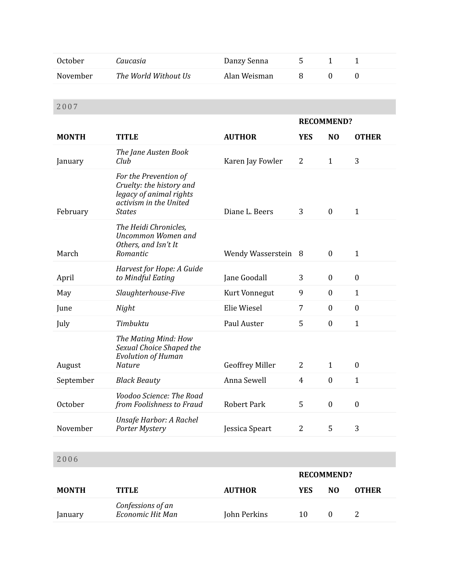| October  | Caucasia             | Danzy Senna  |  |  |
|----------|----------------------|--------------|--|--|
| November | The World Without Us | Alan Weisman |  |  |

|              |                                                                                                                         |                        |                   | <b>RECOMMEND?</b> |                  |
|--------------|-------------------------------------------------------------------------------------------------------------------------|------------------------|-------------------|-------------------|------------------|
| <b>MONTH</b> | <b>TITLE</b>                                                                                                            | <b>AUTHOR</b>          | <b>YES</b>        | N <sub>O</sub>    | <b>OTHER</b>     |
| January      | The Jane Austen Book<br>Club                                                                                            | Karen Jay Fowler       | $\overline{2}$    | $\mathbf{1}$      | 3                |
| February     | For the Prevention of<br>Cruelty: the history and<br>legacy of animal rights<br>activism in the United<br><b>States</b> | Diane L. Beers         | 3                 | $\boldsymbol{0}$  | $\mathbf{1}$     |
| March        | The Heidi Chronicles,<br><b>Uncommon Women and</b><br>Others, and Isn't It<br>Romantic                                  | Wendy Wasserstein      | - 8               | $\boldsymbol{0}$  | $\mathbf{1}$     |
| April        | Harvest for Hope: A Guide<br>to Mindful Eating                                                                          | Jane Goodall           | 3                 | $\boldsymbol{0}$  | $\boldsymbol{0}$ |
| May          | Slaughterhouse-Five                                                                                                     | Kurt Vonnegut          | 9                 | $\boldsymbol{0}$  | $\mathbf{1}$     |
| June         | Night                                                                                                                   | Elie Wiesel            | 7                 | $\boldsymbol{0}$  | $\boldsymbol{0}$ |
| July         | Timbuktu                                                                                                                | Paul Auster            | 5                 | $\boldsymbol{0}$  | $\mathbf{1}$     |
| August       | The Mating Mind: How<br>Sexual Choice Shaped the<br><b>Evolution of Human</b><br><b>Nature</b>                          | <b>Geoffrey Miller</b> | 2                 | $\mathbf{1}$      | $\boldsymbol{0}$ |
| September    | <b>Black Beauty</b>                                                                                                     | Anna Sewell            | $\overline{4}$    | $\boldsymbol{0}$  | $\mathbf{1}$     |
| October      | Voodoo Science: The Road<br>from Foolishness to Fraud                                                                   | <b>Robert Park</b>     | 5                 | $\boldsymbol{0}$  | $\boldsymbol{0}$ |
| November     | Unsafe Harbor: A Rachel<br>Porter Mystery                                                                               | Jessica Speart         | $\overline{2}$    | 5                 | 3                |
|              |                                                                                                                         |                        |                   |                   |                  |
| 2006         |                                                                                                                         |                        |                   |                   |                  |
|              |                                                                                                                         |                        | <b>RECOMMEND?</b> |                   |                  |
| <b>MONTH</b> | <b>TITLE</b>                                                                                                            | <b>AUTHOR</b>          | <b>YES</b>        | N <sub>O</sub>    | <b>OTHER</b>     |
| January      | Confessions of an<br>Economic Hit Man                                                                                   | John Perkins           | 10                | $\boldsymbol{0}$  | 2                |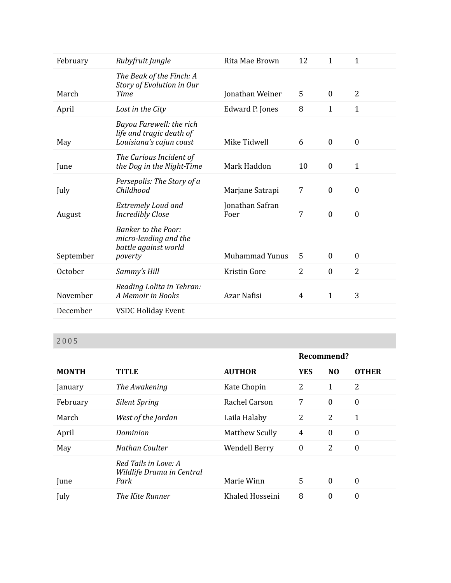| February  | Rubyfruit Jungle                                                                       | Rita Mae Brown          | 12 | $\mathbf{1}$     | $\mathbf{1}$     |
|-----------|----------------------------------------------------------------------------------------|-------------------------|----|------------------|------------------|
| March     | The Beak of the Finch: A<br>Story of Evolution in Our<br>Time                          | Jonathan Weiner         | 5  | $\boldsymbol{0}$ | $\overline{2}$   |
| April     | Lost in the City                                                                       | Edward P. Jones         | 8  | $\mathbf{1}$     | $\mathbf{1}$     |
| May       | Bayou Farewell: the rich<br>life and tragic death of<br>Louisiana's cajun coast        | Mike Tidwell            | 6  | $\boldsymbol{0}$ | $\mathbf{0}$     |
| June      | The Curious Incident of<br>the Dog in the Night-Time                                   | Mark Haddon             | 10 | $\boldsymbol{0}$ | $\mathbf{1}$     |
| July      | Persepolis: The Story of a<br>Childhood                                                | Marjane Satrapi         | 7  | $\boldsymbol{0}$ | $\boldsymbol{0}$ |
| August    | Extremely Loud and<br><b>Incredibly Close</b>                                          | Jonathan Safran<br>Foer | 7  | $\boldsymbol{0}$ | $\boldsymbol{0}$ |
| September | <b>Banker to the Poor:</b><br>micro-lending and the<br>battle against world<br>poverty | <b>Muhammad Yunus</b>   | 5  | $\mathbf{0}$     | $\mathbf{0}$     |
| October   | Sammy's Hill                                                                           | Kristin Gore            | 2  | $\boldsymbol{0}$ | $\overline{2}$   |
| November  | Reading Lolita in Tehran:<br>A Memoir in Books                                         | Azar Nafisi             | 4  | $\mathbf{1}$     | 3                |
| December  | <b>VSDC Holiday Event</b>                                                              |                         |    |                  |                  |

|              |                                                           |                       | Recommend?       |                  |                  |
|--------------|-----------------------------------------------------------|-----------------------|------------------|------------------|------------------|
| <b>MONTH</b> | <b>TITLE</b>                                              | <b>AUTHOR</b>         | <b>YES</b>       | N <sub>0</sub>   | <b>OTHER</b>     |
| January      | The Awakening                                             | Kate Chopin           | 2                | 1                | 2                |
| February     | Silent Spring                                             | Rachel Carson         | 7                | $\overline{0}$   | $\boldsymbol{0}$ |
| March        | West of the Jordan                                        | Laila Halaby          | $\overline{2}$   | $\overline{2}$   | 1                |
| April        | Dominion                                                  | <b>Matthew Scully</b> | 4                | $\overline{0}$   | $\boldsymbol{0}$ |
| May          | Nathan Coulter                                            | <b>Wendell Berry</b>  | $\boldsymbol{0}$ | $\overline{2}$   | $\boldsymbol{0}$ |
| June         | Red Tails in Love: A<br>Wildlife Drama in Central<br>Park | Marie Winn            | 5                | $\boldsymbol{0}$ | $\theta$         |
| July         | The Kite Runner                                           | Khaled Hosseini       | 8                | $\theta$         | $\boldsymbol{0}$ |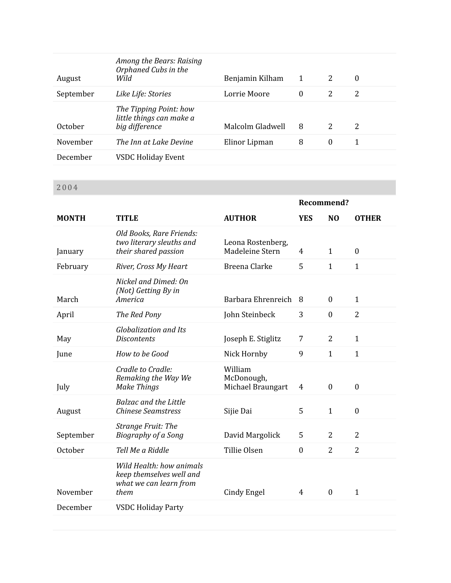| August    | Among the Bears: Raising<br>Orphaned Cubs in the<br>Wild             | Benjamin Kilham  | 1        | 2        | $\theta$ |
|-----------|----------------------------------------------------------------------|------------------|----------|----------|----------|
| September | Like Life: Stories                                                   | Lorrie Moore     | $\theta$ | 2        | 2        |
| October   | The Tipping Point: how<br>little things can make a<br>big difference | Malcolm Gladwell | 8        | 2        | 2        |
| November  | The Inn at Lake Devine                                               | Elinor Lipman    | 8        | $\bf{0}$ | 1        |
| December  | <b>VSDC Holiday Event</b>                                            |                  |          |          |          |

|              |                                                                                        |                                            | Recommend?       |                  |                  |
|--------------|----------------------------------------------------------------------------------------|--------------------------------------------|------------------|------------------|------------------|
| <b>MONTH</b> | <b>TITLE</b>                                                                           | <b>AUTHOR</b>                              | <b>YES</b>       | N <sub>O</sub>   | <b>OTHER</b>     |
| January      | Old Books, Rare Friends:<br>two literary sleuths and<br>their shared passion           | Leona Rostenberg,<br>Madeleine Stern       | 4                | $\mathbf{1}$     | $\mathbf{0}$     |
| February     | River, Cross My Heart                                                                  | Breena Clarke                              | 5                | $\mathbf{1}$     | $\mathbf{1}$     |
| March        | Nickel and Dimed: On<br>(Not) Getting By in<br>America                                 | Barbara Ehrenreich                         | 8                | $\boldsymbol{0}$ | $\mathbf{1}$     |
| April        | The Red Pony                                                                           | John Steinbeck                             | 3                | $\boldsymbol{0}$ | $\overline{2}$   |
| May          | <b>Globalization and Its</b><br><b>Discontents</b>                                     | Joseph E. Stiglitz                         | 7                | 2                | $\mathbf{1}$     |
| June         | How to be Good                                                                         | Nick Hornby                                | 9                | $\mathbf{1}$     | $\mathbf{1}$     |
| July         | Cradle to Cradle:<br>Remaking the Way We<br>Make Things                                | William<br>McDonough,<br>Michael Braungart | 4                | $\mathbf{0}$     | $\boldsymbol{0}$ |
| August       | <b>Balzac and the Little</b><br><b>Chinese Seamstress</b>                              | Sijie Dai                                  | 5                | $\mathbf{1}$     | $\boldsymbol{0}$ |
| September    | <b>Strange Fruit: The</b><br><b>Biography of a Song</b>                                | David Margolick                            | 5                | $\overline{2}$   | $\overline{2}$   |
| October      | Tell Me a Riddle                                                                       | Tillie Olsen                               | $\boldsymbol{0}$ | $\overline{2}$   | $\overline{2}$   |
| November     | Wild Health: how animals<br>keep themselves well and<br>what we can learn from<br>them | Cindy Engel                                | 4                | $\mathbf{0}$     | $\mathbf{1}$     |
| December     | <b>VSDC Holiday Party</b>                                                              |                                            |                  |                  |                  |
|              |                                                                                        |                                            |                  |                  |                  |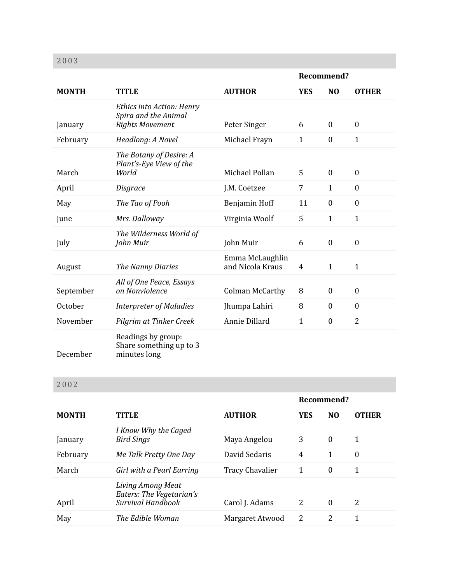|              |                                                                             |                                     | Recommend?     |                  |                |
|--------------|-----------------------------------------------------------------------------|-------------------------------------|----------------|------------------|----------------|
| <b>MONTH</b> | <b>TITLE</b>                                                                | <b>AUTHOR</b>                       | <b>YES</b>     | N <sub>O</sub>   | <b>OTHER</b>   |
| January      | Ethics into Action: Henry<br>Spira and the Animal<br><b>Rights Movement</b> | Peter Singer                        | 6              | $\mathbf{0}$     | $\mathbf{0}$   |
| February     | Headlong: A Novel                                                           | Michael Frayn                       | $\mathbf{1}$   | $\boldsymbol{0}$ | $\mathbf{1}$   |
| March        | The Botany of Desire: A<br>Plant's-Eye View of the<br>World                 | Michael Pollan                      | 5              | $\mathbf{0}$     | $\mathbf{0}$   |
| April        | Disgrace                                                                    | J.M. Coetzee                        | $\overline{7}$ | $\mathbf{1}$     | $\mathbf{0}$   |
| May          | The Tao of Pooh                                                             | Benjamin Hoff                       | 11             | $\mathbf{0}$     | $\theta$       |
| June         | Mrs. Dalloway                                                               | Virginia Woolf                      | 5              | $\mathbf{1}$     | $\mathbf{1}$   |
| July         | The Wilderness World of<br>John Muir                                        | John Muir                           | 6              | $\mathbf{0}$     | $\mathbf{0}$   |
| August       | The Nanny Diaries                                                           | Emma McLaughlin<br>and Nicola Kraus | 4              | $\mathbf{1}$     | $\mathbf{1}$   |
| September    | All of One Peace, Essays<br>on Nonviolence                                  | <b>Colman McCarthy</b>              | 8              | $\mathbf{0}$     | $\mathbf{0}$   |
| October      | <b>Interpreter of Maladies</b>                                              | Jhumpa Lahiri                       | 8              | $\boldsymbol{0}$ | $\mathbf{0}$   |
| November     | Pilgrim at Tinker Creek                                                     | Annie Dillard                       | $\mathbf{1}$   | $\mathbf{0}$     | $\overline{2}$ |
| December     | Readings by group:<br>Share something up to 3<br>minutes long               |                                     |                |                  |                |

|              |                                                                    |                        | Recommend? |                |              |
|--------------|--------------------------------------------------------------------|------------------------|------------|----------------|--------------|
| <b>MONTH</b> | <b>TITLE</b>                                                       | <b>AUTHOR</b>          | <b>YES</b> | N <sub>0</sub> | <b>OTHER</b> |
| January      | I Know Why the Caged<br><b>Bird Sings</b>                          | Maya Angelou           | 3          | $\theta$       | 1            |
| February     | Me Talk Pretty One Day                                             | David Sedaris          | 4          | 1              | $\theta$     |
| March        | Girl with a Pearl Earring                                          | <b>Tracy Chavalier</b> | 1          | $\theta$       | 1            |
| April        | Living Among Meat<br>Eaters: The Vegetarian's<br>Survival Handbook | Carol J. Adams         | 2          | $\theta$       | 2            |
| May          | The Edible Woman                                                   | Margaret Atwood        | 2          | 2              | 1            |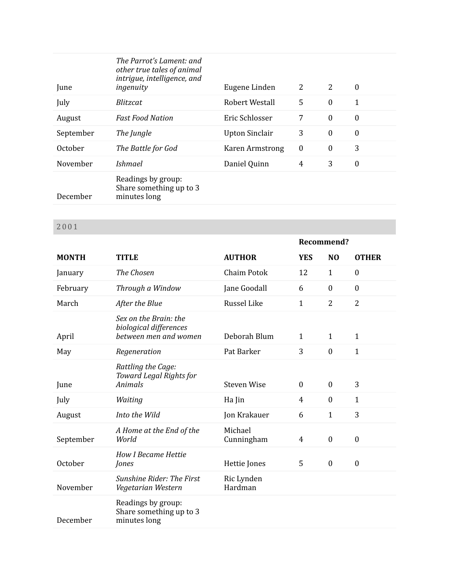| June      | The Parrot's Lament: and<br>other true tales of animal<br>intrigue, intelligence, and<br>ingenuity | Eugene Linden          | 2                | 2                | $\theta$         |
|-----------|----------------------------------------------------------------------------------------------------|------------------------|------------------|------------------|------------------|
| July      | <i>Blitzcat</i>                                                                                    | Robert Westall         | 5                | $\theta$         | 1                |
| August    | <b>Fast Food Nation</b>                                                                            | Eric Schlosser         | 7                | $\theta$         | $\boldsymbol{0}$ |
| September | The Jungle                                                                                         | <b>Upton Sinclair</b>  | 3                | $\boldsymbol{0}$ | $\boldsymbol{0}$ |
| October   | The Battle for God                                                                                 | <b>Karen Armstrong</b> | $\boldsymbol{0}$ | $\boldsymbol{0}$ | 3                |
| November  | <i>Ishmael</i>                                                                                     | Daniel Quinn           | 4                | 3                | $\boldsymbol{0}$ |
| December  | Readings by group:<br>Share something up to 3<br>minutes long                                      |                        |                  |                  |                  |

|              |                                                                          |                       | Recommend?     |                  |                  |
|--------------|--------------------------------------------------------------------------|-----------------------|----------------|------------------|------------------|
| <b>MONTH</b> | <b>TITLE</b>                                                             | <b>AUTHOR</b>         | <b>YES</b>     | N <sub>0</sub>   | <b>OTHER</b>     |
| January      | The Chosen                                                               | <b>Chaim Potok</b>    | 12             | $\mathbf{1}$     | $\mathbf{0}$     |
| February     | Through a Window                                                         | Jane Goodall          | 6              | $\mathbf{0}$     | $\mathbf{0}$     |
| March        | After the Blue                                                           | Russel Like           | $\mathbf{1}$   | $\overline{2}$   | $\overline{2}$   |
| April        | Sex on the Brain: the<br>biological differences<br>between men and women | Deborah Blum          | $\mathbf{1}$   | $\mathbf{1}$     | $\mathbf{1}$     |
| May          | Regeneration                                                             | Pat Barker            | 3              | $\boldsymbol{0}$ | $\mathbf{1}$     |
| June         | Rattling the Cage:<br>Toward Legal Rights for<br><b>Animals</b>          | <b>Steven Wise</b>    | $\mathbf{0}$   | $\boldsymbol{0}$ | 3                |
| July         | Waiting                                                                  | Ha Jin                | $\overline{4}$ | $\boldsymbol{0}$ | $\mathbf{1}$     |
| August       | Into the Wild                                                            | Jon Krakauer          | 6              | $\mathbf{1}$     | 3                |
| September    | A Home at the End of the<br>World                                        | Michael<br>Cunningham | $\overline{4}$ | $\boldsymbol{0}$ | $\boldsymbol{0}$ |
| October      | <b>How I Became Hettie</b><br>Jones                                      | Hettie Jones          | 5              | $\boldsymbol{0}$ | $\boldsymbol{0}$ |
| November     | <b>Sunshine Rider: The First</b><br>Vegetarian Western                   | Ric Lynden<br>Hardman |                |                  |                  |
| December     | Readings by group:<br>Share something up to 3<br>minutes long            |                       |                |                  |                  |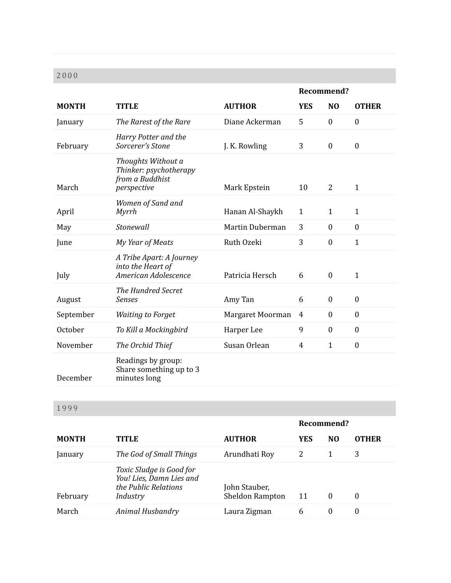|              |                                                                                |                  | Recommend?     |                  |                  |
|--------------|--------------------------------------------------------------------------------|------------------|----------------|------------------|------------------|
| <b>MONTH</b> | <b>TITLE</b>                                                                   | <b>AUTHOR</b>    | <b>YES</b>     | N <sub>0</sub>   | <b>OTHER</b>     |
| January      | The Rarest of the Rare                                                         | Diane Ackerman   | 5              | $\boldsymbol{0}$ | $\boldsymbol{0}$ |
| February     | Harry Potter and the<br>Sorcerer's Stone                                       | J. K. Rowling    | 3              | $\boldsymbol{0}$ | $\boldsymbol{0}$ |
| March        | Thoughts Without a<br>Thinker: psychotherapy<br>from a Buddhist<br>perspective | Mark Epstein     | 10             | $\overline{2}$   | $\mathbf{1}$     |
| April        | Women of Sand and<br><b>Myrrh</b>                                              | Hanan Al-Shaykh  | $\mathbf{1}$   | $\mathbf{1}$     | $\mathbf{1}$     |
| May          | Stonewall                                                                      | Martin Duberman  | 3              | $\mathbf{0}$     | $\mathbf{0}$     |
| June         | My Year of Meats                                                               | Ruth Ozeki       | 3              | $\boldsymbol{0}$ | $\mathbf{1}$     |
| July         | A Tribe Apart: A Journey<br>into the Heart of<br>American Adolescence          | Patricia Hersch  | 6              | $\boldsymbol{0}$ | $\mathbf{1}$     |
| August       | The Hundred Secret<br><b>Senses</b>                                            | Amy Tan          | 6              | $\boldsymbol{0}$ | $\boldsymbol{0}$ |
| September    | <b>Waiting to Forget</b>                                                       | Margaret Moorman | $\overline{4}$ | $\boldsymbol{0}$ | $\boldsymbol{0}$ |
| October      | To Kill a Mockingbird                                                          | Harper Lee       | 9              | $\mathbf{0}$     | $\mathbf{0}$     |
| November     | The Orchid Thief                                                               | Susan Orlean     | $\overline{4}$ | $\mathbf{1}$     | $\boldsymbol{0}$ |
| December     | Readings by group:<br>Share something up to 3<br>minutes long                  |                  |                |                  |                  |

|                |                                                                                          |                                         | Recommend? |                |              |
|----------------|------------------------------------------------------------------------------------------|-----------------------------------------|------------|----------------|--------------|
| <b>MONTH</b>   | TITLE                                                                                    | <b>AUTHOR</b>                           | <b>YES</b> | N <sub>0</sub> | <b>OTHER</b> |
| <b>January</b> | The God of Small Things                                                                  | Arundhati Roy                           | 2          |                | 3            |
| February       | Toxic Sludge is Good for<br>You! Lies, Damn Lies and<br>the Public Relations<br>Industry | John Stauber,<br><b>Sheldon Rampton</b> | 11         | $\theta$       | $\Omega$     |
| March          | <b>Animal Husbandry</b>                                                                  | Laura Zigman                            | 6          | 0              | $\theta$     |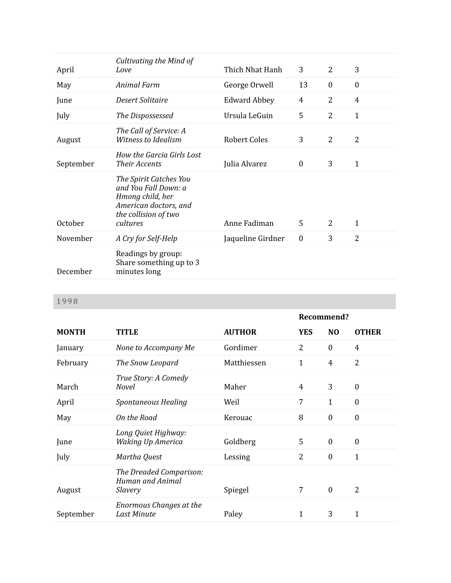| April     | Cultivating the Mind of<br>Love                                                                                                 | Thich Nhat Hanh     | 3                | $\overline{2}$   | 3                |
|-----------|---------------------------------------------------------------------------------------------------------------------------------|---------------------|------------------|------------------|------------------|
| May       | Animal Farm                                                                                                                     | George Orwell       | 13               | $\boldsymbol{0}$ | $\boldsymbol{0}$ |
| June      | Desert Solitaire                                                                                                                | <b>Edward Abbey</b> | $\overline{4}$   | $\overline{2}$   | $\overline{4}$   |
| July      | The Dispossessed                                                                                                                | Ursula LeGuin       | 5                | $\overline{2}$   | $\mathbf{1}$     |
| August    | The Call of Service: A<br>Witness to Idealism                                                                                   | <b>Robert Coles</b> | 3                | $\overline{2}$   | $\overline{2}$   |
| September | How the Garcia Girls Lost<br><b>Their Accents</b>                                                                               | Julia Alvarez       | $\boldsymbol{0}$ | 3                | 1                |
| October   | The Spirit Catches You<br>and You Fall Down: a<br>Hmong child, her<br>American doctors, and<br>the collision of two<br>cultures | Anne Fadiman        | 5                | $\overline{2}$   | $\mathbf{1}$     |
| November  | A Cry for Self-Help                                                                                                             | Jaqueline Girdner   | $\boldsymbol{0}$ | 3                | $\overline{2}$   |
| December  | Readings by group:<br>Share something up to 3<br>minutes long                                                                   |                     |                  |                  |                  |

|              |                                                               |               | Recommend?     |                  |                  |
|--------------|---------------------------------------------------------------|---------------|----------------|------------------|------------------|
| <b>MONTH</b> | TITLE                                                         | <b>AUTHOR</b> | <b>YES</b>     | N <sub>O</sub>   | <b>OTHER</b>     |
| January      | None to Accompany Me                                          | Gordimer      | $\overline{2}$ | $\boldsymbol{0}$ | 4                |
| February     | The Snow Leopard                                              | Matthiessen   | $\mathbf 1$    | $\overline{4}$   | $\overline{2}$   |
| March        | True Story: A Comedy<br><b>Novel</b>                          | Maher         | 4              | 3                | $\theta$         |
| April        | Spontaneous Healing                                           | Weil          | 7              | $\mathbf{1}$     | $\overline{0}$   |
| May          | On the Road                                                   | Kerouac       | 8              | $\boldsymbol{0}$ | $\boldsymbol{0}$ |
| June         | Long Quiet Highway:<br><b>Waking Up America</b>               | Goldberg      | 5              | $\mathbf{0}$     | $\overline{0}$   |
| July         | Martha Quest                                                  | Lessing       | 2              | $\boldsymbol{0}$ | $\mathbf{1}$     |
| August       | The Dreaded Comparison:<br><b>Human and Animal</b><br>Slavery | Spiegel       | 7              | $\boldsymbol{0}$ | $\overline{2}$   |
| September    | <b>Enormous Changes at the</b><br><b>Last Minute</b>          | Paley         | $\mathbf{1}$   | 3                | 1                |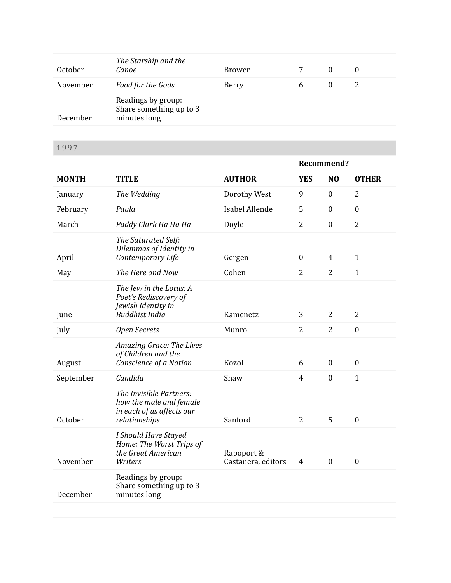| October  | The Starship and the<br>Canoe                                 | <b>Brower</b> |   |  |
|----------|---------------------------------------------------------------|---------------|---|--|
| November | Food for the Gods                                             | Berry         | b |  |
| December | Readings by group:<br>Share something up to 3<br>minutes long |               |   |  |

|              |                                                                                                  |                                  |                  | Recommend?       |                  |
|--------------|--------------------------------------------------------------------------------------------------|----------------------------------|------------------|------------------|------------------|
| <b>MONTH</b> | <b>TITLE</b>                                                                                     | <b>AUTHOR</b>                    | <b>YES</b>       | N <sub>O</sub>   | <b>OTHER</b>     |
| January      | The Wedding                                                                                      | Dorothy West                     | 9                | $\boldsymbol{0}$ | 2                |
| February     | Paula                                                                                            | Isabel Allende                   | 5                | $\boldsymbol{0}$ | $\boldsymbol{0}$ |
| March        | Paddy Clark Ha Ha Ha                                                                             | Doyle                            | $\overline{2}$   | $\boldsymbol{0}$ | $\overline{2}$   |
| April        | The Saturated Self:<br>Dilemmas of Identity in<br>Contemporary Life                              | Gergen                           | $\boldsymbol{0}$ | 4                | $\mathbf{1}$     |
| May          | The Here and Now                                                                                 | Cohen                            | $\overline{2}$   | $\overline{2}$   | $\mathbf{1}$     |
| June         | The Jew in the Lotus: A<br>Poet's Rediscovery of<br>Jewish Identity in<br><b>Buddhist India</b>  | Kamenetz                         | 3                | $\overline{2}$   | $\overline{2}$   |
| July         | <b>Open Secrets</b>                                                                              | Munro                            | $\overline{2}$   | $\overline{2}$   | $\boldsymbol{0}$ |
| August       | Amazing Grace: The Lives<br>of Children and the<br>Conscience of a Nation                        | Kozol                            | 6                | $\boldsymbol{0}$ | $\boldsymbol{0}$ |
| September    | Candida                                                                                          | Shaw                             | $\overline{4}$   | $\mathbf{0}$     | $\mathbf{1}$     |
| October      | The Invisible Partners:<br>how the male and female<br>in each of us affects our<br>relationships | Sanford                          | $\overline{2}$   | 5                | $\boldsymbol{0}$ |
| November     | I Should Have Stayed<br>Home: The Worst Trips of<br>the Great American<br>Writers                | Rapoport &<br>Castanera, editors | 4                | $\boldsymbol{0}$ | $\boldsymbol{0}$ |
| December     | Readings by group:<br>Share something up to 3<br>minutes long                                    |                                  |                  |                  |                  |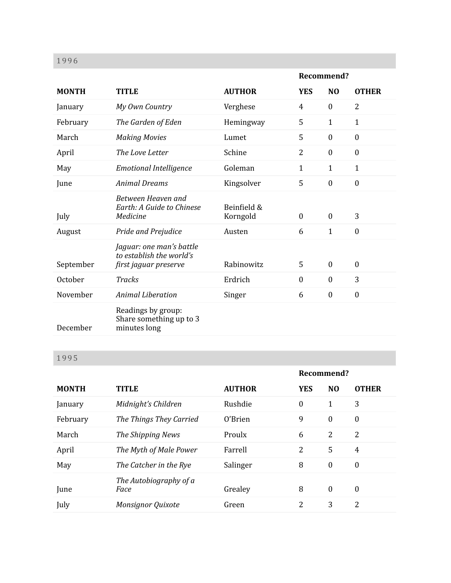| 1996         |                                                                               |                         |                  |                  |                  |
|--------------|-------------------------------------------------------------------------------|-------------------------|------------------|------------------|------------------|
|              |                                                                               |                         | Recommend?       |                  |                  |
| <b>MONTH</b> | <b>TITLE</b>                                                                  | <b>AUTHOR</b>           | <b>YES</b>       | N <sub>0</sub>   | <b>OTHER</b>     |
| January      | My Own Country                                                                | Verghese                | $\overline{4}$   | $\boldsymbol{0}$ | $\overline{2}$   |
| February     | The Garden of Eden                                                            | Hemingway               | 5                | $\mathbf{1}$     | $\mathbf{1}$     |
| March        | <b>Making Movies</b>                                                          | Lumet                   | 5                | $\boldsymbol{0}$ | $\boldsymbol{0}$ |
| April        | The Love Letter                                                               | Schine                  | $\overline{2}$   | $\mathbf{0}$     | $\mathbf{0}$     |
| May          | <b>Emotional Intelligence</b>                                                 | Goleman                 | $\mathbf{1}$     | $\mathbf{1}$     | $\mathbf{1}$     |
| June         | <b>Animal Dreams</b>                                                          | Kingsolver              | 5                | $\mathbf{0}$     | $\mathbf{0}$     |
| July         | Between Heaven and<br>Earth: A Guide to Chinese<br>Medicine                   | Beinfield &<br>Korngold | $\boldsymbol{0}$ | $\boldsymbol{0}$ | 3                |
| August       | Pride and Prejudice                                                           | Austen                  | 6                | $\mathbf{1}$     | $\mathbf{0}$     |
| September    | Jaguar: one man's battle<br>to establish the world's<br>first jaguar preserve | Rabinowitz              | 5                | $\mathbf{0}$     | $\mathbf{0}$     |
| October      | <b>Tracks</b>                                                                 | Erdrich                 | $\boldsymbol{0}$ | $\boldsymbol{0}$ | 3                |
| November     | <b>Animal Liberation</b>                                                      | Singer                  | 6                | $\boldsymbol{0}$ | $\boldsymbol{0}$ |
| December     | Readings by group:<br>Share something up to 3<br>minutes long                 |                         |                  |                  |                  |

|              |                                |               | Recommend?     |                  |                  |
|--------------|--------------------------------|---------------|----------------|------------------|------------------|
| <b>MONTH</b> | <b>TITLE</b>                   | <b>AUTHOR</b> | <b>YES</b>     | N <sub>0</sub>   | <b>OTHER</b>     |
| January      | Midnight's Children            | Rushdie       | $\mathbf{0}$   | 1                | 3                |
| February     | The Things They Carried        | 0'Brien       | 9              | $\theta$         | $\boldsymbol{0}$ |
| March        | The Shipping News              | Proulx        | 6              | $\overline{2}$   | 2                |
| April        | The Myth of Male Power         | Farrell       | $\overline{2}$ | 5                | $\overline{4}$   |
| May          | The Catcher in the Rye         | Salinger      | 8              | $\boldsymbol{0}$ | $\boldsymbol{0}$ |
| June         | The Autobiography of a<br>Face | Grealey       | 8              | $\boldsymbol{0}$ | $\theta$         |
| July         | <b>Monsignor Quixote</b>       | Green         | 2              | 3                | 2                |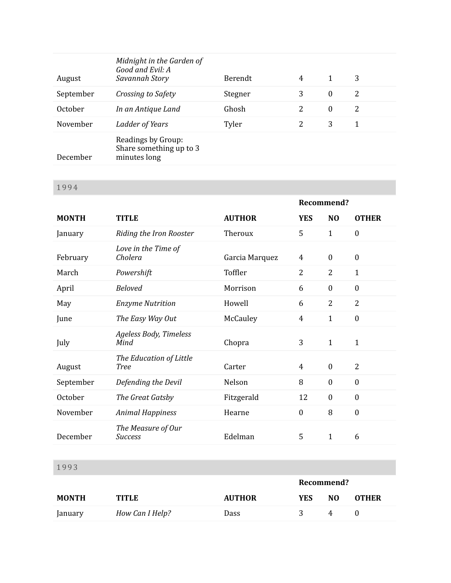| August    | Midnight in the Garden of<br>Good and Evil: A<br>Savannah Story | Berendt | 4 | 1        | 3 |
|-----------|-----------------------------------------------------------------|---------|---|----------|---|
| September | Crossing to Safety                                              | Stegner | 3 | $\bf{0}$ | 2 |
| October   | In an Antique Land                                              | Ghosh   | 2 | $\theta$ | 2 |
| November  | Ladder of Years                                                 | Tyler   | 2 | 3        | 1 |
| December  | Readings by Group:<br>Share something up to 3<br>minutes long   |         |   |          |   |

|              |                                        |                | Recommend?       |                  |                  |
|--------------|----------------------------------------|----------------|------------------|------------------|------------------|
| <b>MONTH</b> | <b>TITLE</b>                           | <b>AUTHOR</b>  | <b>YES</b>       | N <sub>O</sub>   | <b>OTHER</b>     |
| January      | Riding the Iron Rooster                | Theroux        | 5                | $\mathbf{1}$     | $\boldsymbol{0}$ |
| February     | Love in the Time of<br>Cholera         | Garcia Marquez | 4                | $\boldsymbol{0}$ | $\boldsymbol{0}$ |
| March        | Powershift                             | Toffler        | $\overline{2}$   | $\overline{2}$   | $\mathbf{1}$     |
| April        | <b>Beloved</b>                         | Morrison       | 6                | $\boldsymbol{0}$ | $\boldsymbol{0}$ |
| May          | <b>Enzyme Nutrition</b>                | Howell         | 6                | $\overline{2}$   | $\overline{2}$   |
| June         | The Easy Way Out                       | McCauley       | $\overline{4}$   | $\mathbf{1}$     | $\boldsymbol{0}$ |
| July         | <b>Ageless Body, Timeless</b><br>Mind  | Chopra         | 3                | $\mathbf{1}$     | $\mathbf 1$      |
| August       | The Education of Little<br><b>Tree</b> | Carter         | 4                | $\boldsymbol{0}$ | $\overline{2}$   |
| September    | Defending the Devil                    | Nelson         | 8                | $\mathbf{0}$     | $\mathbf{0}$     |
| October      | The Great Gatsby                       | Fitzgerald     | 12               | $\boldsymbol{0}$ | $\boldsymbol{0}$ |
| November     | <b>Animal Happiness</b>                | Hearne         | $\boldsymbol{0}$ | 8                | $\boldsymbol{0}$ |
| December     | The Measure of Our<br><b>Success</b>   | Edelman        | 5                | $\mathbf 1$      | 6                |

|              |                 |               | Recommend? |                |              |
|--------------|-----------------|---------------|------------|----------------|--------------|
| <b>MONTH</b> | <b>TITLE</b>    | <b>AUTHOR</b> | YES        | N <sub>O</sub> | <b>OTHER</b> |
| January      | How Can I Help? | <b>Dass</b>   | ≺          |                |              |